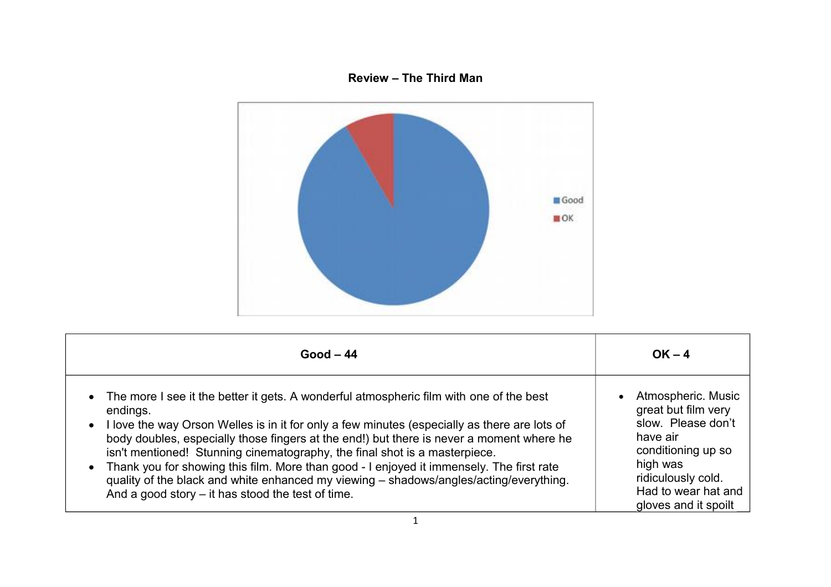## **Review – The Third Man**



| $Good - 44$                                                                                  | $OK - 4$             |
|----------------------------------------------------------------------------------------------|----------------------|
| • The more I see it the better it gets. A wonderful atmospheric film with one of the best    | Atmospheric. Music   |
| endings.                                                                                     | $\bullet$            |
| I love the way Orson Welles is in it for only a few minutes (especially as there are lots of | great but film very  |
| $\bullet$                                                                                    | slow. Please don't   |
| body doubles, especially those fingers at the end!) but there is never a moment where he     | have air             |
| isn't mentioned! Stunning cinematography, the final shot is a masterpiece.                   | conditioning up so   |
| Thank you for showing this film. More than good - I enjoyed it immensely. The first rate     | high was             |
| $\bullet$                                                                                    | ridiculously cold.   |
| quality of the black and white enhanced my viewing – shadows/angles/acting/everything.       | Had to wear hat and  |
| And a good story $-$ it has stood the test of time.                                          | gloves and it spoilt |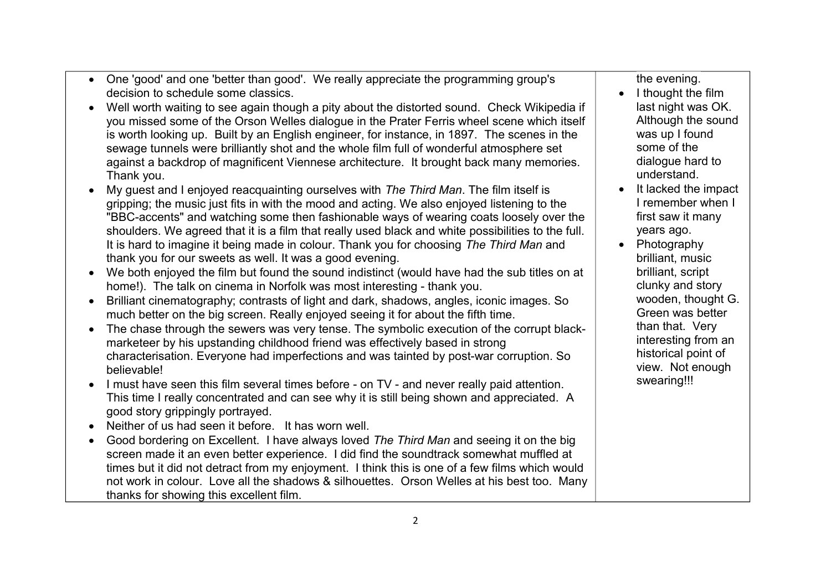- One 'good' and one 'better than good'. We really appreciate the programming group's decision to schedule some classics.
- Well worth waiting to see again though a pity about the distorted sound. Check Wikipedia if you missed some of the Orson Welles dialogue in the Prater Ferris wheel scene which itself is worth looking up. Built by an English engineer, for instance, in 1897. The scenes in the sewage tunnels were brilliantly shot and the whole film full of wonderful atmosphere set against a backdrop of magnificent Viennese architecture. It brought back many memories. Thank you.
- My guest and I enjoyed reacquainting ourselves with *The Third Man*. The film itself is gripping; the music just fits in with the mood and acting. We also enjoyed listening to the "BBC-accents" and watching some then fashionable ways of wearing coats loosely over the shoulders. We agreed that it is a film that really used black and white possibilities to the full. It is hard to imagine it being made in colour. Thank you for choosing *The Third Man* and thank you for our sweets as well. It was a good evening.
- We both enjoyed the film but found the sound indistinct (would have had the sub titles on at home!). The talk on cinema in Norfolk was most interesting - thank you.
- Brilliant cinematography; contrasts of light and dark, shadows, angles, iconic images. So much better on the big screen. Really enjoyed seeing it for about the fifth time.
- The chase through the sewers was very tense. The symbolic execution of the corrupt blackmarketeer by his upstanding childhood friend was effectively based in strong characterisation. Everyone had imperfections and was tainted by post-war corruption. So believable!
- I must have seen this film several times before on TV and never really paid attention. This time I really concentrated and can see why it is still being shown and appreciated. A good story grippingly portrayed.
- Neither of us had seen it before. It has worn well.
- Good bordering on Excellent. I have always loved *The Third Man* and seeing it on the big screen made it an even better experience. I did find the soundtrack somewhat muffled at times but it did not detract from my enjoyment. I think this is one of a few films which would not work in colour. Love all the shadows & silhouettes. Orson Welles at his best too. Many thanks for showing this excellent film.

the evening.

- $\bullet$  I thought the film last night was OK. Although the sound was up I found some of the dialogue hard to understand.
- It lacked the impact I remember when I first saw it many years ago.
- Photography brilliant, music brilliant, script clunky and story wooden, thought G. Green was better than that. Very interesting from an historical point of view. Not enough swearing!!!